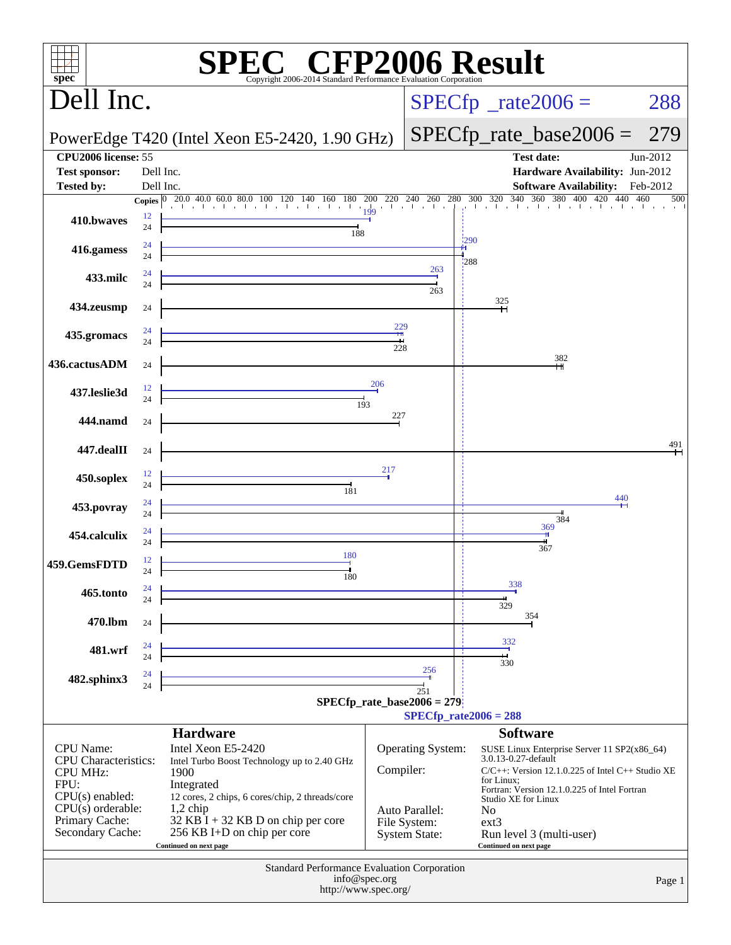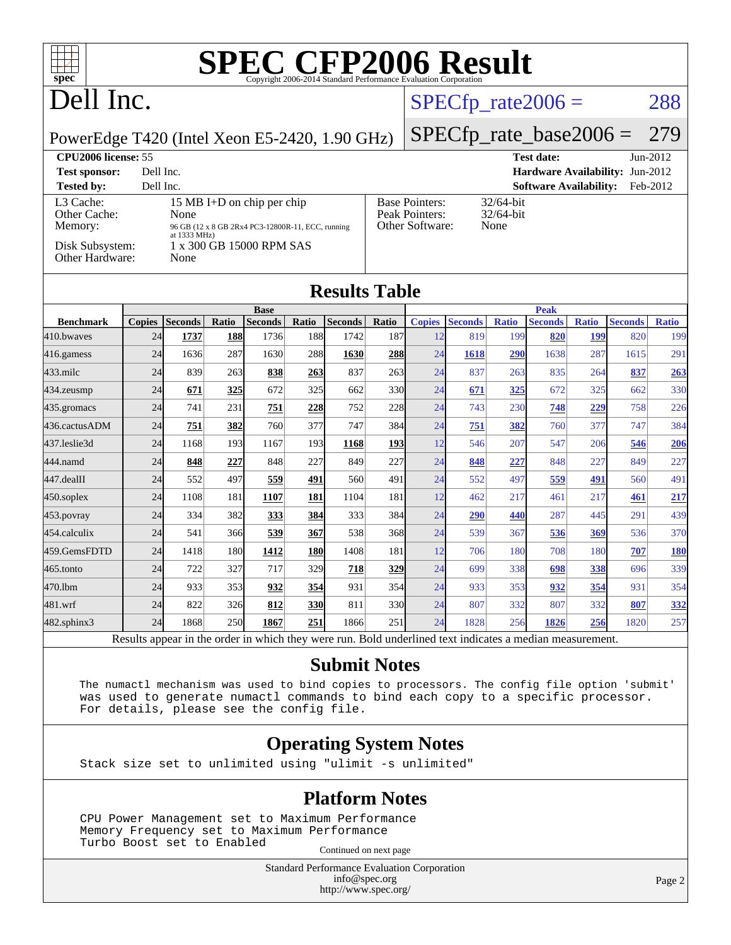# Dell Inc.

### $SPECTp_rate2006 = 288$

#### PowerEdge T420 (Intel Xeon E5-2420, 1.90 GHz)

[SPECfp\\_rate\\_base2006 =](http://www.spec.org/auto/cpu2006/Docs/result-fields.html#SPECfpratebase2006) 279

#### **[CPU2006 license:](http://www.spec.org/auto/cpu2006/Docs/result-fields.html#CPU2006license)** 55 **[Test date:](http://www.spec.org/auto/cpu2006/Docs/result-fields.html#Testdate)** Jun-2012 **[Test sponsor:](http://www.spec.org/auto/cpu2006/Docs/result-fields.html#Testsponsor)** Dell Inc. **[Hardware Availability:](http://www.spec.org/auto/cpu2006/Docs/result-fields.html#HardwareAvailability)** Jun-2012 **[Tested by:](http://www.spec.org/auto/cpu2006/Docs/result-fields.html#Testedby)** Dell Inc. **[Software Availability:](http://www.spec.org/auto/cpu2006/Docs/result-fields.html#SoftwareAvailability)** Feb-2012 [L3 Cache:](http://www.spec.org/auto/cpu2006/Docs/result-fields.html#L3Cache) 15 MB I+D on chip per chip<br>Other Cache: None [Other Cache:](http://www.spec.org/auto/cpu2006/Docs/result-fields.html#OtherCache) [Memory:](http://www.spec.org/auto/cpu2006/Docs/result-fields.html#Memory) 96 GB (12 x 8 GB 2Rx4 PC3-12800R-11, ECC, running at 1333 MHz) [Disk Subsystem:](http://www.spec.org/auto/cpu2006/Docs/result-fields.html#DiskSubsystem) 1 x 300 GB 15000 RPM SAS [Other Hardware:](http://www.spec.org/auto/cpu2006/Docs/result-fields.html#OtherHardware) None [Base Pointers:](http://www.spec.org/auto/cpu2006/Docs/result-fields.html#BasePointers) 32/64-bit<br>Peak Pointers: 32/64-bit [Peak Pointers:](http://www.spec.org/auto/cpu2006/Docs/result-fields.html#PeakPointers) [Other Software:](http://www.spec.org/auto/cpu2006/Docs/result-fields.html#OtherSoftware) None

| Other Hardware:  |               | None           |       |                |       |                      |            |               |                |              |                |              |                |              |
|------------------|---------------|----------------|-------|----------------|-------|----------------------|------------|---------------|----------------|--------------|----------------|--------------|----------------|--------------|
|                  |               |                |       |                |       | <b>Results Table</b> |            |               |                |              |                |              |                |              |
|                  |               |                |       | <b>Base</b>    |       |                      |            |               |                |              | <b>Peak</b>    |              |                |              |
| <b>Benchmark</b> | <b>Copies</b> | <b>Seconds</b> | Ratio | <b>Seconds</b> | Ratio | <b>Seconds</b>       | Ratio      | <b>Copies</b> | <b>Seconds</b> | <b>Ratio</b> | <b>Seconds</b> | <b>Ratio</b> | <b>Seconds</b> | <b>Ratio</b> |
| 410.bwayes       | 24            | 1737           | 188   | 1736           | 188   | 1742                 | 187        | 12            | 819            | 199          | 820            | 199          | 820            | 199          |
| 416.gamess       | 24            | 1636           | 287   | 1630           | 288   | 1630                 | 288        | 24            | 1618           | 290          | 1638           | 287          | 1615           | 291          |
| $433$ .milc      | 24            | 839            | 263   | 838            | 263   | 837                  | 263        | 24            | 837            | 263          | 835            | 264          | 837            | 263          |
| 434.zeusmp       | 24            | 671            | 325   | 672            | 325   | 662                  | 330        | 24            | 671            | 325          | 672            | 325          | 662            | 330          |
| $435$ . gromacs  | 24            | 741            | 231   | 751            | 228   | 752                  | 228        | 24            | 743            | 230          | 748            | 229          | 758            | 226          |
| 436.cactusADM    | 24            | 751            | 382   | 760            | 377   | 747                  | 384        | 24            | 751            | 382          | 760            | 377          | 747            | 384          |
| 437.leslie3d     | 24            | 1168           | 193   | 1167           | 193   | 1168                 | <b>193</b> | 12            | 546            | 207          | 547            | 206          | 546            | 206          |
| 444.namd         | 24            | 848            | 227   | 848            | 227   | 849                  | 227        | 24            | 848            | 227          | 848            | 227          | 849            | 227          |
| 447.dealII       | 24            | 552            | 497   | 559            | 491   | 560                  | 491        | 24            | 552            | 497          | 559            | 491          | 560            | 491          |
| $450$ .soplex    | 24            | 1108           | 181   | 1107           | 181   | 1104                 | 181        | 12            | 462            | 217          | 461            | 217          | 461            | 217          |
| $453$ .povray    | 24            | 334            | 382   | 333            | 384   | 333                  | 384        | 24            | <b>290</b>     | 440          | 287            | 445          | 291            | 439          |
| 454.calculix     | 24            | 541            | 366   | 539            | 367   | 538                  | 368        | 24            | 539            | 367          | 536            | 369          | 536            | 370          |
| 459.GemsFDTD     | 24            | 1418           | 180   | 1412           | 180   | 1408                 | 181        | 12            | 706            | 180          | 708            | 180          | 707            | 180          |
| 465.tonto        | 24            | 722            | 327   | 717            | 329   | 718                  | 329        | 24            | 699            | 338          | 698            | 338          | 696            | 339          |
| 470.1bm          | 24            | 933            | 353   | 932            | 354   | 931                  | 354        | 24            | 933            | 353          | 932            | 354          | 931            | 354          |
| 481.wrf          | 24            | 822            | 326   | 812            | 330   | 811                  | 330l       | 24            | 807            | 332          | 807            | 332          | 807            | 332          |
| 482.sphinx3      | 24            | 1868           | 250   | 1867           | 251   | 1866                 | 251        | 24            | 1828           | 256          | 1826           | 256          | 1820           | 257          |

Results appear in the [order in which they were run.](http://www.spec.org/auto/cpu2006/Docs/result-fields.html#RunOrder) Bold underlined text [indicates a median measurement.](http://www.spec.org/auto/cpu2006/Docs/result-fields.html#Median)

### **[Submit Notes](http://www.spec.org/auto/cpu2006/Docs/result-fields.html#SubmitNotes)**

 The numactl mechanism was used to bind copies to processors. The config file option 'submit' was used to generate numactl commands to bind each copy to a specific processor. For details, please see the config file.

### **[Operating System Notes](http://www.spec.org/auto/cpu2006/Docs/result-fields.html#OperatingSystemNotes)**

Stack size set to unlimited using "ulimit -s unlimited"

#### **[Platform Notes](http://www.spec.org/auto/cpu2006/Docs/result-fields.html#PlatformNotes)**

 CPU Power Management set to Maximum Performance Memory Frequency set to Maximum Performance Turbo Boost set to Enabled Continued on next page

> Standard Performance Evaluation Corporation [info@spec.org](mailto:info@spec.org) <http://www.spec.org/>

Page 2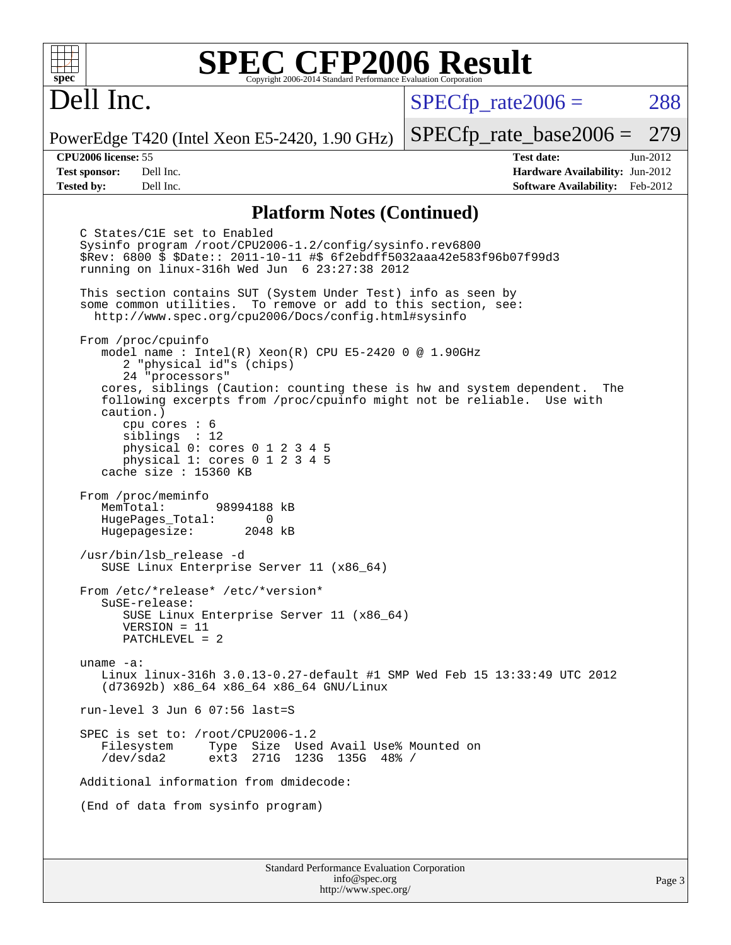# Dell Inc.

 $SPECTp\_rate2006 = 288$ 

PowerEdge T420 (Intel Xeon E5-2420, 1.90 GHz)

**[Test sponsor:](http://www.spec.org/auto/cpu2006/Docs/result-fields.html#Testsponsor)** Dell Inc. **[Hardware Availability:](http://www.spec.org/auto/cpu2006/Docs/result-fields.html#HardwareAvailability)** Jun-2012 **[Tested by:](http://www.spec.org/auto/cpu2006/Docs/result-fields.html#Testedby)** Dell Inc. **[Software Availability:](http://www.spec.org/auto/cpu2006/Docs/result-fields.html#SoftwareAvailability)** Feb-2012

[SPECfp\\_rate\\_base2006 =](http://www.spec.org/auto/cpu2006/Docs/result-fields.html#SPECfpratebase2006) 279 **[CPU2006 license:](http://www.spec.org/auto/cpu2006/Docs/result-fields.html#CPU2006license)** 55 **[Test date:](http://www.spec.org/auto/cpu2006/Docs/result-fields.html#Testdate)** Jun-2012

### **[Platform Notes \(Continued\)](http://www.spec.org/auto/cpu2006/Docs/result-fields.html#PlatformNotes)**

Standard Performance Evaluation Corporation C States/C1E set to Enabled Sysinfo program /root/CPU2006-1.2/config/sysinfo.rev6800 \$Rev: 6800 \$ \$Date:: 2011-10-11 #\$ 6f2ebdff5032aaa42e583f96b07f99d3 running on linux-316h Wed Jun 6 23:27:38 2012 This section contains SUT (System Under Test) info as seen by some common utilities. To remove or add to this section, see: <http://www.spec.org/cpu2006/Docs/config.html#sysinfo> From /proc/cpuinfo model name : Intel(R) Xeon(R) CPU E5-2420 0 @ 1.90GHz 2 "physical id"s (chips) 24 "processors" cores, siblings (Caution: counting these is hw and system dependent. The following excerpts from /proc/cpuinfo might not be reliable. Use with caution.) cpu cores : 6 siblings : 12 physical 0: cores 0 1 2 3 4 5 physical 1: cores 0 1 2 3 4 5 cache size : 15360 KB From /proc/meminfo MemTotal: 98994188 kB HugePages\_Total: 0<br>Hugepagesize: 2048 kB Hugepagesize: /usr/bin/lsb\_release -d SUSE Linux Enterprise Server 11 (x86\_64) From /etc/\*release\* /etc/\*version\* SuSE-release: SUSE Linux Enterprise Server 11 (x86\_64) VERSION = 11 PATCHLEVEL = 2 uname -a: Linux linux-316h 3.0.13-0.27-default #1 SMP Wed Feb 15 13:33:49 UTC 2012 (d73692b) x86\_64 x86\_64 x86\_64 GNU/Linux run-level 3 Jun 6 07:56 last=S SPEC is set to: /root/CPU2006-1.2<br>Filesystem Type Size Use Type Size Used Avail Use% Mounted on /dev/sda2 ext3 271G 123G 135G 48% / Additional information from dmidecode: (End of data from sysinfo program)

[info@spec.org](mailto:info@spec.org) <http://www.spec.org/>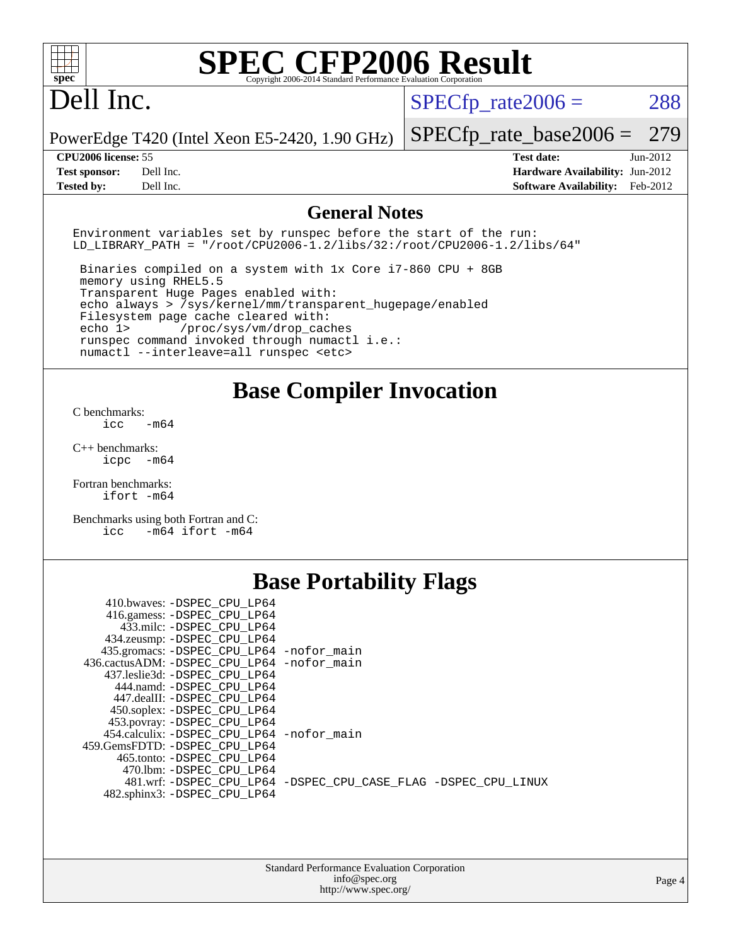# Dell Inc.

 $SPECTp_rate2006 = 288$ 

[SPECfp\\_rate\\_base2006 =](http://www.spec.org/auto/cpu2006/Docs/result-fields.html#SPECfpratebase2006) 279

PowerEdge T420 (Intel Xeon E5-2420, 1.90 GHz)

**[Tested by:](http://www.spec.org/auto/cpu2006/Docs/result-fields.html#Testedby)** Dell Inc. **[Software Availability:](http://www.spec.org/auto/cpu2006/Docs/result-fields.html#SoftwareAvailability)** Feb-2012

**[CPU2006 license:](http://www.spec.org/auto/cpu2006/Docs/result-fields.html#CPU2006license)** 55 **[Test date:](http://www.spec.org/auto/cpu2006/Docs/result-fields.html#Testdate)** Jun-2012 **[Test sponsor:](http://www.spec.org/auto/cpu2006/Docs/result-fields.html#Testsponsor)** Dell Inc. **[Hardware Availability:](http://www.spec.org/auto/cpu2006/Docs/result-fields.html#HardwareAvailability)** Jun-2012

### **[General Notes](http://www.spec.org/auto/cpu2006/Docs/result-fields.html#GeneralNotes)**

Environment variables set by runspec before the start of the run: LD LIBRARY PATH = "/root/CPU2006-1.2/libs/32:/root/CPU2006-1.2/libs/64"

 Binaries compiled on a system with 1x Core i7-860 CPU + 8GB memory using RHEL5.5 Transparent Huge Pages enabled with: echo always > /sys/kernel/mm/transparent\_hugepage/enabled Filesystem page cache cleared with: echo 1> /proc/sys/vm/drop\_caches runspec command invoked through numactl i.e.: numactl --interleave=all runspec <etc>

### **[Base Compiler Invocation](http://www.spec.org/auto/cpu2006/Docs/result-fields.html#BaseCompilerInvocation)**

[C benchmarks](http://www.spec.org/auto/cpu2006/Docs/result-fields.html#Cbenchmarks):  $\frac{1}{2}$ cc  $-\text{m64}$ 

[C++ benchmarks:](http://www.spec.org/auto/cpu2006/Docs/result-fields.html#CXXbenchmarks) [icpc -m64](http://www.spec.org/cpu2006/results/res2012q3/cpu2006-20120703-23465.flags.html#user_CXXbase_intel_icpc_64bit_bedb90c1146cab66620883ef4f41a67e)

[Fortran benchmarks](http://www.spec.org/auto/cpu2006/Docs/result-fields.html#Fortranbenchmarks): [ifort -m64](http://www.spec.org/cpu2006/results/res2012q3/cpu2006-20120703-23465.flags.html#user_FCbase_intel_ifort_64bit_ee9d0fb25645d0210d97eb0527dcc06e)

[Benchmarks using both Fortran and C](http://www.spec.org/auto/cpu2006/Docs/result-fields.html#BenchmarksusingbothFortranandC): [icc -m64](http://www.spec.org/cpu2006/results/res2012q3/cpu2006-20120703-23465.flags.html#user_CC_FCbase_intel_icc_64bit_0b7121f5ab7cfabee23d88897260401c) [ifort -m64](http://www.spec.org/cpu2006/results/res2012q3/cpu2006-20120703-23465.flags.html#user_CC_FCbase_intel_ifort_64bit_ee9d0fb25645d0210d97eb0527dcc06e)

## **[Base Portability Flags](http://www.spec.org/auto/cpu2006/Docs/result-fields.html#BasePortabilityFlags)**

| 410.bwaves: -DSPEC CPU LP64                |                                                                |
|--------------------------------------------|----------------------------------------------------------------|
| 416.gamess: -DSPEC_CPU_LP64                |                                                                |
| 433.milc: -DSPEC CPU LP64                  |                                                                |
| 434.zeusmp: - DSPEC_CPU_LP64               |                                                                |
| 435.gromacs: -DSPEC_CPU_LP64 -nofor_main   |                                                                |
| 436.cactusADM: -DSPEC CPU LP64 -nofor main |                                                                |
| 437.leslie3d: -DSPEC CPU LP64              |                                                                |
| 444.namd: -DSPEC CPU LP64                  |                                                                |
| 447.dealII: -DSPEC_CPU LP64                |                                                                |
| 450.soplex: -DSPEC_CPU_LP64                |                                                                |
| 453.povray: -DSPEC_CPU_LP64                |                                                                |
| 454.calculix: -DSPEC CPU LP64 -nofor main  |                                                                |
| 459.GemsFDTD: -DSPEC CPU LP64              |                                                                |
| 465.tonto: -DSPEC CPU LP64                 |                                                                |
| 470.1bm: - DSPEC CPU LP64                  |                                                                |
|                                            | 481.wrf: -DSPEC CPU_LP64 -DSPEC_CPU_CASE_FLAG -DSPEC_CPU_LINUX |
| 482.sphinx3: -DSPEC CPU LP64               |                                                                |
|                                            |                                                                |

| <b>Standard Performance Evaluation Corporation</b> |
|----------------------------------------------------|
| info@spec.org                                      |
| http://www.spec.org/                               |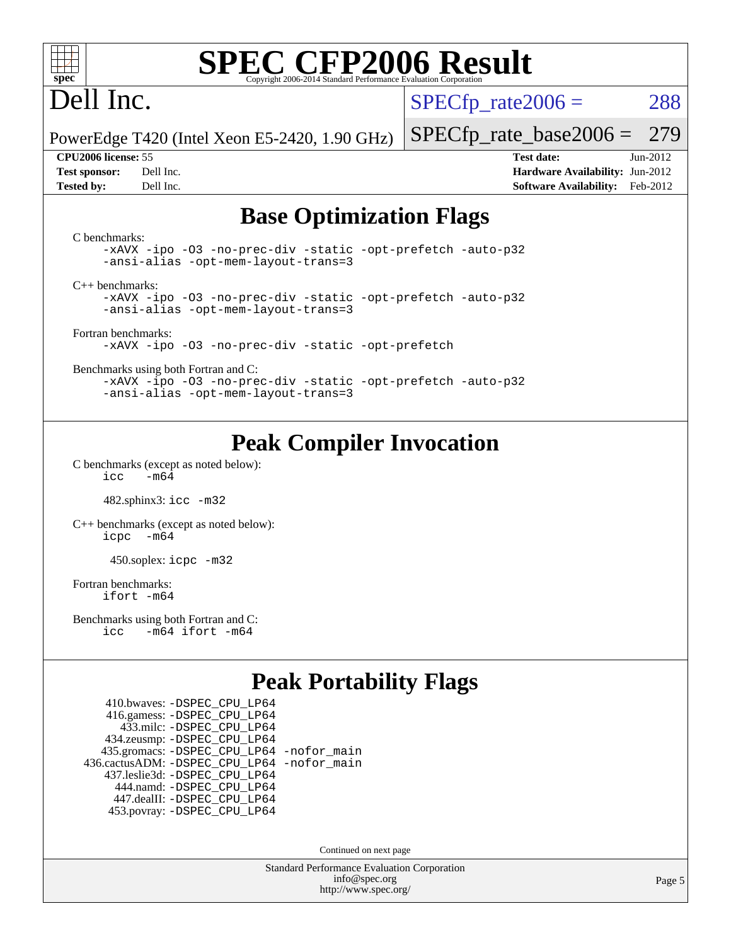

# Dell Inc.

 $SPECTp\_rate2006 = 288$ 

PowerEdge T420 (Intel Xeon E5-2420, 1.90 GHz)

#### **[CPU2006 license:](http://www.spec.org/auto/cpu2006/Docs/result-fields.html#CPU2006license)** 55 **[Test date:](http://www.spec.org/auto/cpu2006/Docs/result-fields.html#Testdate)** Jun-2012

[SPECfp\\_rate\\_base2006 =](http://www.spec.org/auto/cpu2006/Docs/result-fields.html#SPECfpratebase2006) 279

**[Test sponsor:](http://www.spec.org/auto/cpu2006/Docs/result-fields.html#Testsponsor)** Dell Inc. **[Hardware Availability:](http://www.spec.org/auto/cpu2006/Docs/result-fields.html#HardwareAvailability)** Jun-2012 **[Tested by:](http://www.spec.org/auto/cpu2006/Docs/result-fields.html#Testedby)** Dell Inc. **[Software Availability:](http://www.spec.org/auto/cpu2006/Docs/result-fields.html#SoftwareAvailability)** Feb-2012

## **[Base Optimization Flags](http://www.spec.org/auto/cpu2006/Docs/result-fields.html#BaseOptimizationFlags)**

[C benchmarks](http://www.spec.org/auto/cpu2006/Docs/result-fields.html#Cbenchmarks): [-xAVX](http://www.spec.org/cpu2006/results/res2012q3/cpu2006-20120703-23465.flags.html#user_CCbase_f-xAVX) [-ipo](http://www.spec.org/cpu2006/results/res2012q3/cpu2006-20120703-23465.flags.html#user_CCbase_f-ipo) [-O3](http://www.spec.org/cpu2006/results/res2012q3/cpu2006-20120703-23465.flags.html#user_CCbase_f-O3) [-no-prec-div](http://www.spec.org/cpu2006/results/res2012q3/cpu2006-20120703-23465.flags.html#user_CCbase_f-no-prec-div) [-static](http://www.spec.org/cpu2006/results/res2012q3/cpu2006-20120703-23465.flags.html#user_CCbase_f-static) [-opt-prefetch](http://www.spec.org/cpu2006/results/res2012q3/cpu2006-20120703-23465.flags.html#user_CCbase_f-opt-prefetch) [-auto-p32](http://www.spec.org/cpu2006/results/res2012q3/cpu2006-20120703-23465.flags.html#user_CCbase_f-auto-p32) [-ansi-alias](http://www.spec.org/cpu2006/results/res2012q3/cpu2006-20120703-23465.flags.html#user_CCbase_f-ansi-alias) [-opt-mem-layout-trans=3](http://www.spec.org/cpu2006/results/res2012q3/cpu2006-20120703-23465.flags.html#user_CCbase_f-opt-mem-layout-trans_a7b82ad4bd7abf52556d4961a2ae94d5) [C++ benchmarks:](http://www.spec.org/auto/cpu2006/Docs/result-fields.html#CXXbenchmarks) [-xAVX](http://www.spec.org/cpu2006/results/res2012q3/cpu2006-20120703-23465.flags.html#user_CXXbase_f-xAVX) [-ipo](http://www.spec.org/cpu2006/results/res2012q3/cpu2006-20120703-23465.flags.html#user_CXXbase_f-ipo) [-O3](http://www.spec.org/cpu2006/results/res2012q3/cpu2006-20120703-23465.flags.html#user_CXXbase_f-O3) [-no-prec-div](http://www.spec.org/cpu2006/results/res2012q3/cpu2006-20120703-23465.flags.html#user_CXXbase_f-no-prec-div) [-static](http://www.spec.org/cpu2006/results/res2012q3/cpu2006-20120703-23465.flags.html#user_CXXbase_f-static) [-opt-prefetch](http://www.spec.org/cpu2006/results/res2012q3/cpu2006-20120703-23465.flags.html#user_CXXbase_f-opt-prefetch) [-auto-p32](http://www.spec.org/cpu2006/results/res2012q3/cpu2006-20120703-23465.flags.html#user_CXXbase_f-auto-p32) [-ansi-alias](http://www.spec.org/cpu2006/results/res2012q3/cpu2006-20120703-23465.flags.html#user_CXXbase_f-ansi-alias) [-opt-mem-layout-trans=3](http://www.spec.org/cpu2006/results/res2012q3/cpu2006-20120703-23465.flags.html#user_CXXbase_f-opt-mem-layout-trans_a7b82ad4bd7abf52556d4961a2ae94d5) [Fortran benchmarks](http://www.spec.org/auto/cpu2006/Docs/result-fields.html#Fortranbenchmarks): [-xAVX](http://www.spec.org/cpu2006/results/res2012q3/cpu2006-20120703-23465.flags.html#user_FCbase_f-xAVX) [-ipo](http://www.spec.org/cpu2006/results/res2012q3/cpu2006-20120703-23465.flags.html#user_FCbase_f-ipo) [-O3](http://www.spec.org/cpu2006/results/res2012q3/cpu2006-20120703-23465.flags.html#user_FCbase_f-O3) [-no-prec-div](http://www.spec.org/cpu2006/results/res2012q3/cpu2006-20120703-23465.flags.html#user_FCbase_f-no-prec-div) [-static](http://www.spec.org/cpu2006/results/res2012q3/cpu2006-20120703-23465.flags.html#user_FCbase_f-static) [-opt-prefetch](http://www.spec.org/cpu2006/results/res2012q3/cpu2006-20120703-23465.flags.html#user_FCbase_f-opt-prefetch) [Benchmarks using both Fortran and C](http://www.spec.org/auto/cpu2006/Docs/result-fields.html#BenchmarksusingbothFortranandC): [-xAVX](http://www.spec.org/cpu2006/results/res2012q3/cpu2006-20120703-23465.flags.html#user_CC_FCbase_f-xAVX) [-ipo](http://www.spec.org/cpu2006/results/res2012q3/cpu2006-20120703-23465.flags.html#user_CC_FCbase_f-ipo) [-O3](http://www.spec.org/cpu2006/results/res2012q3/cpu2006-20120703-23465.flags.html#user_CC_FCbase_f-O3) [-no-prec-div](http://www.spec.org/cpu2006/results/res2012q3/cpu2006-20120703-23465.flags.html#user_CC_FCbase_f-no-prec-div) [-static](http://www.spec.org/cpu2006/results/res2012q3/cpu2006-20120703-23465.flags.html#user_CC_FCbase_f-static) [-opt-prefetch](http://www.spec.org/cpu2006/results/res2012q3/cpu2006-20120703-23465.flags.html#user_CC_FCbase_f-opt-prefetch) [-auto-p32](http://www.spec.org/cpu2006/results/res2012q3/cpu2006-20120703-23465.flags.html#user_CC_FCbase_f-auto-p32) [-ansi-alias](http://www.spec.org/cpu2006/results/res2012q3/cpu2006-20120703-23465.flags.html#user_CC_FCbase_f-ansi-alias) [-opt-mem-layout-trans=3](http://www.spec.org/cpu2006/results/res2012q3/cpu2006-20120703-23465.flags.html#user_CC_FCbase_f-opt-mem-layout-trans_a7b82ad4bd7abf52556d4961a2ae94d5)

## **[Peak Compiler Invocation](http://www.spec.org/auto/cpu2006/Docs/result-fields.html#PeakCompilerInvocation)**

[C benchmarks \(except as noted below\)](http://www.spec.org/auto/cpu2006/Docs/result-fields.html#Cbenchmarksexceptasnotedbelow):  $\text{icc}$  -m64

482.sphinx3: [icc -m32](http://www.spec.org/cpu2006/results/res2012q3/cpu2006-20120703-23465.flags.html#user_peakCCLD482_sphinx3_intel_icc_a6a621f8d50482236b970c6ac5f55f93)

[C++ benchmarks \(except as noted below\):](http://www.spec.org/auto/cpu2006/Docs/result-fields.html#CXXbenchmarksexceptasnotedbelow) [icpc -m64](http://www.spec.org/cpu2006/results/res2012q3/cpu2006-20120703-23465.flags.html#user_CXXpeak_intel_icpc_64bit_bedb90c1146cab66620883ef4f41a67e)

450.soplex: [icpc -m32](http://www.spec.org/cpu2006/results/res2012q3/cpu2006-20120703-23465.flags.html#user_peakCXXLD450_soplex_intel_icpc_4e5a5ef1a53fd332b3c49e69c3330699)

[Fortran benchmarks](http://www.spec.org/auto/cpu2006/Docs/result-fields.html#Fortranbenchmarks): [ifort -m64](http://www.spec.org/cpu2006/results/res2012q3/cpu2006-20120703-23465.flags.html#user_FCpeak_intel_ifort_64bit_ee9d0fb25645d0210d97eb0527dcc06e)

[Benchmarks using both Fortran and C](http://www.spec.org/auto/cpu2006/Docs/result-fields.html#BenchmarksusingbothFortranandC): [icc -m64](http://www.spec.org/cpu2006/results/res2012q3/cpu2006-20120703-23465.flags.html#user_CC_FCpeak_intel_icc_64bit_0b7121f5ab7cfabee23d88897260401c) [ifort -m64](http://www.spec.org/cpu2006/results/res2012q3/cpu2006-20120703-23465.flags.html#user_CC_FCpeak_intel_ifort_64bit_ee9d0fb25645d0210d97eb0527dcc06e)

## **[Peak Portability Flags](http://www.spec.org/auto/cpu2006/Docs/result-fields.html#PeakPortabilityFlags)**

 410.bwaves: [-DSPEC\\_CPU\\_LP64](http://www.spec.org/cpu2006/results/res2012q3/cpu2006-20120703-23465.flags.html#suite_peakPORTABILITY410_bwaves_DSPEC_CPU_LP64) 416.gamess: [-DSPEC\\_CPU\\_LP64](http://www.spec.org/cpu2006/results/res2012q3/cpu2006-20120703-23465.flags.html#suite_peakPORTABILITY416_gamess_DSPEC_CPU_LP64) 433.milc: [-DSPEC\\_CPU\\_LP64](http://www.spec.org/cpu2006/results/res2012q3/cpu2006-20120703-23465.flags.html#suite_peakPORTABILITY433_milc_DSPEC_CPU_LP64) 434.zeusmp: [-DSPEC\\_CPU\\_LP64](http://www.spec.org/cpu2006/results/res2012q3/cpu2006-20120703-23465.flags.html#suite_peakPORTABILITY434_zeusmp_DSPEC_CPU_LP64) 435.gromacs: [-DSPEC\\_CPU\\_LP64](http://www.spec.org/cpu2006/results/res2012q3/cpu2006-20120703-23465.flags.html#suite_peakPORTABILITY435_gromacs_DSPEC_CPU_LP64) [-nofor\\_main](http://www.spec.org/cpu2006/results/res2012q3/cpu2006-20120703-23465.flags.html#user_peakLDPORTABILITY435_gromacs_f-nofor_main) 436.cactusADM: [-DSPEC\\_CPU\\_LP64](http://www.spec.org/cpu2006/results/res2012q3/cpu2006-20120703-23465.flags.html#suite_peakPORTABILITY436_cactusADM_DSPEC_CPU_LP64) [-nofor\\_main](http://www.spec.org/cpu2006/results/res2012q3/cpu2006-20120703-23465.flags.html#user_peakLDPORTABILITY436_cactusADM_f-nofor_main) 437.leslie3d: [-DSPEC\\_CPU\\_LP64](http://www.spec.org/cpu2006/results/res2012q3/cpu2006-20120703-23465.flags.html#suite_peakPORTABILITY437_leslie3d_DSPEC_CPU_LP64) 444.namd: [-DSPEC\\_CPU\\_LP64](http://www.spec.org/cpu2006/results/res2012q3/cpu2006-20120703-23465.flags.html#suite_peakPORTABILITY444_namd_DSPEC_CPU_LP64) 447.dealII: [-DSPEC\\_CPU\\_LP64](http://www.spec.org/cpu2006/results/res2012q3/cpu2006-20120703-23465.flags.html#suite_peakPORTABILITY447_dealII_DSPEC_CPU_LP64) 453.povray: [-DSPEC\\_CPU\\_LP64](http://www.spec.org/cpu2006/results/res2012q3/cpu2006-20120703-23465.flags.html#suite_peakPORTABILITY453_povray_DSPEC_CPU_LP64)

Continued on next page

Standard Performance Evaluation Corporation [info@spec.org](mailto:info@spec.org) <http://www.spec.org/>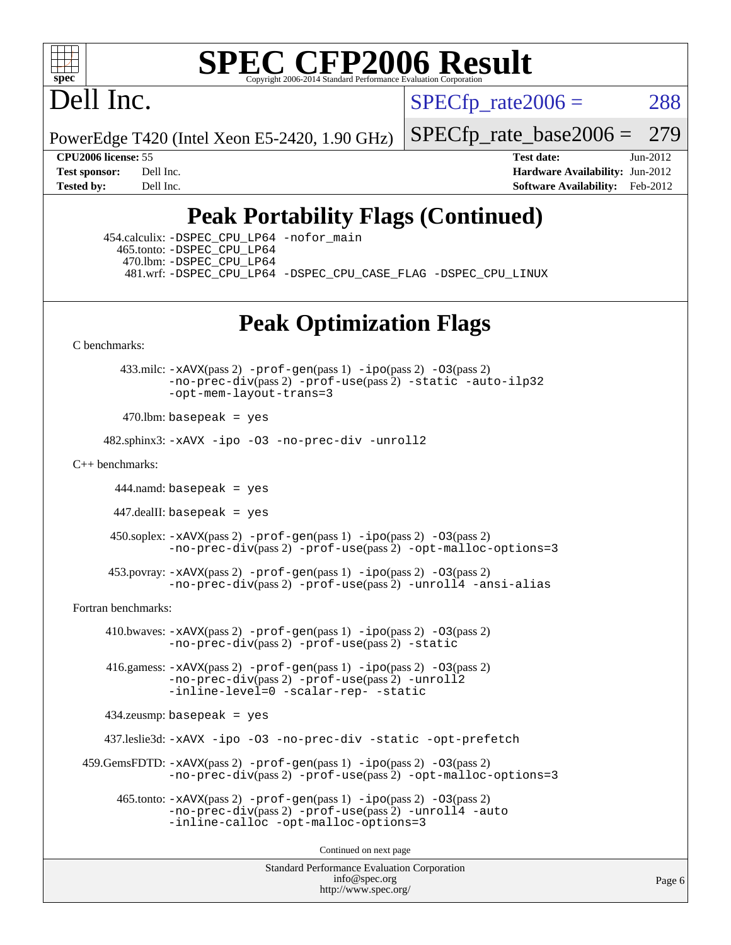

Dell Inc.

 $SPECTp\_rate2006 = 288$ 

PowerEdge T420 (Intel Xeon E5-2420, 1.90 GHz)

[SPECfp\\_rate\\_base2006 =](http://www.spec.org/auto/cpu2006/Docs/result-fields.html#SPECfpratebase2006) 279

**[CPU2006 license:](http://www.spec.org/auto/cpu2006/Docs/result-fields.html#CPU2006license)** 55 **[Test date:](http://www.spec.org/auto/cpu2006/Docs/result-fields.html#Testdate)** Jun-2012 **[Test sponsor:](http://www.spec.org/auto/cpu2006/Docs/result-fields.html#Testsponsor)** Dell Inc. **[Hardware Availability:](http://www.spec.org/auto/cpu2006/Docs/result-fields.html#HardwareAvailability)** Jun-2012 **[Tested by:](http://www.spec.org/auto/cpu2006/Docs/result-fields.html#Testedby)** Dell Inc. **[Software Availability:](http://www.spec.org/auto/cpu2006/Docs/result-fields.html#SoftwareAvailability)** Feb-2012

# **[Peak Portability Flags \(Continued\)](http://www.spec.org/auto/cpu2006/Docs/result-fields.html#PeakPortabilityFlags)**

 454.calculix: [-DSPEC\\_CPU\\_LP64](http://www.spec.org/cpu2006/results/res2012q3/cpu2006-20120703-23465.flags.html#suite_peakPORTABILITY454_calculix_DSPEC_CPU_LP64) [-nofor\\_main](http://www.spec.org/cpu2006/results/res2012q3/cpu2006-20120703-23465.flags.html#user_peakLDPORTABILITY454_calculix_f-nofor_main) 465.tonto: [-DSPEC\\_CPU\\_LP64](http://www.spec.org/cpu2006/results/res2012q3/cpu2006-20120703-23465.flags.html#suite_peakPORTABILITY465_tonto_DSPEC_CPU_LP64) 470.lbm: [-DSPEC\\_CPU\\_LP64](http://www.spec.org/cpu2006/results/res2012q3/cpu2006-20120703-23465.flags.html#suite_peakPORTABILITY470_lbm_DSPEC_CPU_LP64) 481.wrf: [-DSPEC\\_CPU\\_LP64](http://www.spec.org/cpu2006/results/res2012q3/cpu2006-20120703-23465.flags.html#suite_peakPORTABILITY481_wrf_DSPEC_CPU_LP64) [-DSPEC\\_CPU\\_CASE\\_FLAG](http://www.spec.org/cpu2006/results/res2012q3/cpu2006-20120703-23465.flags.html#b481.wrf_peakCPORTABILITY_DSPEC_CPU_CASE_FLAG) [-DSPEC\\_CPU\\_LINUX](http://www.spec.org/cpu2006/results/res2012q3/cpu2006-20120703-23465.flags.html#b481.wrf_peakCPORTABILITY_DSPEC_CPU_LINUX)

## **[Peak Optimization Flags](http://www.spec.org/auto/cpu2006/Docs/result-fields.html#PeakOptimizationFlags)**

[C benchmarks](http://www.spec.org/auto/cpu2006/Docs/result-fields.html#Cbenchmarks):

 433.milc: [-xAVX](http://www.spec.org/cpu2006/results/res2012q3/cpu2006-20120703-23465.flags.html#user_peakPASS2_CFLAGSPASS2_LDFLAGS433_milc_f-xAVX)(pass 2) [-prof-gen](http://www.spec.org/cpu2006/results/res2012q3/cpu2006-20120703-23465.flags.html#user_peakPASS1_CFLAGSPASS1_LDFLAGS433_milc_prof_gen_e43856698f6ca7b7e442dfd80e94a8fc)(pass 1) [-ipo](http://www.spec.org/cpu2006/results/res2012q3/cpu2006-20120703-23465.flags.html#user_peakPASS2_CFLAGSPASS2_LDFLAGS433_milc_f-ipo)(pass 2) [-O3](http://www.spec.org/cpu2006/results/res2012q3/cpu2006-20120703-23465.flags.html#user_peakPASS2_CFLAGSPASS2_LDFLAGS433_milc_f-O3)(pass 2) [-no-prec-div](http://www.spec.org/cpu2006/results/res2012q3/cpu2006-20120703-23465.flags.html#user_peakPASS2_CFLAGSPASS2_LDFLAGS433_milc_f-no-prec-div)(pass 2) [-prof-use](http://www.spec.org/cpu2006/results/res2012q3/cpu2006-20120703-23465.flags.html#user_peakPASS2_CFLAGSPASS2_LDFLAGS433_milc_prof_use_bccf7792157ff70d64e32fe3e1250b55)(pass 2) [-static](http://www.spec.org/cpu2006/results/res2012q3/cpu2006-20120703-23465.flags.html#user_peakOPTIMIZE433_milc_f-static) [-auto-ilp32](http://www.spec.org/cpu2006/results/res2012q3/cpu2006-20120703-23465.flags.html#user_peakCOPTIMIZE433_milc_f-auto-ilp32) [-opt-mem-layout-trans=3](http://www.spec.org/cpu2006/results/res2012q3/cpu2006-20120703-23465.flags.html#user_peakCOPTIMIZE433_milc_f-opt-mem-layout-trans_a7b82ad4bd7abf52556d4961a2ae94d5)

 $470$ .lbm: basepeak = yes

482.sphinx3: [-xAVX](http://www.spec.org/cpu2006/results/res2012q3/cpu2006-20120703-23465.flags.html#user_peakOPTIMIZE482_sphinx3_f-xAVX) [-ipo](http://www.spec.org/cpu2006/results/res2012q3/cpu2006-20120703-23465.flags.html#user_peakOPTIMIZE482_sphinx3_f-ipo) [-O3](http://www.spec.org/cpu2006/results/res2012q3/cpu2006-20120703-23465.flags.html#user_peakOPTIMIZE482_sphinx3_f-O3) [-no-prec-div](http://www.spec.org/cpu2006/results/res2012q3/cpu2006-20120703-23465.flags.html#user_peakOPTIMIZE482_sphinx3_f-no-prec-div) [-unroll2](http://www.spec.org/cpu2006/results/res2012q3/cpu2006-20120703-23465.flags.html#user_peakCOPTIMIZE482_sphinx3_f-unroll_784dae83bebfb236979b41d2422d7ec2)

[C++ benchmarks:](http://www.spec.org/auto/cpu2006/Docs/result-fields.html#CXXbenchmarks)

444.namd: basepeak = yes

447.dealII: basepeak = yes

 450.soplex: [-xAVX](http://www.spec.org/cpu2006/results/res2012q3/cpu2006-20120703-23465.flags.html#user_peakPASS2_CXXFLAGSPASS2_LDFLAGS450_soplex_f-xAVX)(pass 2) [-prof-gen](http://www.spec.org/cpu2006/results/res2012q3/cpu2006-20120703-23465.flags.html#user_peakPASS1_CXXFLAGSPASS1_LDFLAGS450_soplex_prof_gen_e43856698f6ca7b7e442dfd80e94a8fc)(pass 1) [-ipo](http://www.spec.org/cpu2006/results/res2012q3/cpu2006-20120703-23465.flags.html#user_peakPASS2_CXXFLAGSPASS2_LDFLAGS450_soplex_f-ipo)(pass 2) [-O3](http://www.spec.org/cpu2006/results/res2012q3/cpu2006-20120703-23465.flags.html#user_peakPASS2_CXXFLAGSPASS2_LDFLAGS450_soplex_f-O3)(pass 2) [-no-prec-div](http://www.spec.org/cpu2006/results/res2012q3/cpu2006-20120703-23465.flags.html#user_peakPASS2_CXXFLAGSPASS2_LDFLAGS450_soplex_f-no-prec-div)(pass 2) [-prof-use](http://www.spec.org/cpu2006/results/res2012q3/cpu2006-20120703-23465.flags.html#user_peakPASS2_CXXFLAGSPASS2_LDFLAGS450_soplex_prof_use_bccf7792157ff70d64e32fe3e1250b55)(pass 2) [-opt-malloc-options=3](http://www.spec.org/cpu2006/results/res2012q3/cpu2006-20120703-23465.flags.html#user_peakOPTIMIZE450_soplex_f-opt-malloc-options_13ab9b803cf986b4ee62f0a5998c2238)

453.povray:  $-x$ AVX(pass 2)  $-p$ rof-gen(pass 1)  $-i$ po(pass 2)  $-03$ (pass 2) [-no-prec-div](http://www.spec.org/cpu2006/results/res2012q3/cpu2006-20120703-23465.flags.html#user_peakPASS2_CXXFLAGSPASS2_LDFLAGS453_povray_f-no-prec-div)(pass 2) [-prof-use](http://www.spec.org/cpu2006/results/res2012q3/cpu2006-20120703-23465.flags.html#user_peakPASS2_CXXFLAGSPASS2_LDFLAGS453_povray_prof_use_bccf7792157ff70d64e32fe3e1250b55)(pass 2) [-unroll4](http://www.spec.org/cpu2006/results/res2012q3/cpu2006-20120703-23465.flags.html#user_peakCXXOPTIMIZE453_povray_f-unroll_4e5e4ed65b7fd20bdcd365bec371b81f) [-ansi-alias](http://www.spec.org/cpu2006/results/res2012q3/cpu2006-20120703-23465.flags.html#user_peakCXXOPTIMIZE453_povray_f-ansi-alias)

[Fortran benchmarks](http://www.spec.org/auto/cpu2006/Docs/result-fields.html#Fortranbenchmarks):

410.bwaves:  $-x$ AVX(pass 2)  $-p$ rof-gen(pass 1)  $-p$ o(pass 2)  $-03$ (pass 2) [-no-prec-div](http://www.spec.org/cpu2006/results/res2012q3/cpu2006-20120703-23465.flags.html#user_peakPASS2_FFLAGSPASS2_LDFLAGS410_bwaves_f-no-prec-div)(pass 2) [-prof-use](http://www.spec.org/cpu2006/results/res2012q3/cpu2006-20120703-23465.flags.html#user_peakPASS2_FFLAGSPASS2_LDFLAGS410_bwaves_prof_use_bccf7792157ff70d64e32fe3e1250b55)(pass 2) [-static](http://www.spec.org/cpu2006/results/res2012q3/cpu2006-20120703-23465.flags.html#user_peakOPTIMIZE410_bwaves_f-static)

 416.gamess: [-xAVX](http://www.spec.org/cpu2006/results/res2012q3/cpu2006-20120703-23465.flags.html#user_peakPASS2_FFLAGSPASS2_LDFLAGS416_gamess_f-xAVX)(pass 2) [-prof-gen](http://www.spec.org/cpu2006/results/res2012q3/cpu2006-20120703-23465.flags.html#user_peakPASS1_FFLAGSPASS1_LDFLAGS416_gamess_prof_gen_e43856698f6ca7b7e442dfd80e94a8fc)(pass 1) [-ipo](http://www.spec.org/cpu2006/results/res2012q3/cpu2006-20120703-23465.flags.html#user_peakPASS2_FFLAGSPASS2_LDFLAGS416_gamess_f-ipo)(pass 2) [-O3](http://www.spec.org/cpu2006/results/res2012q3/cpu2006-20120703-23465.flags.html#user_peakPASS2_FFLAGSPASS2_LDFLAGS416_gamess_f-O3)(pass 2) [-no-prec-div](http://www.spec.org/cpu2006/results/res2012q3/cpu2006-20120703-23465.flags.html#user_peakPASS2_FFLAGSPASS2_LDFLAGS416_gamess_f-no-prec-div)(pass 2) [-prof-use](http://www.spec.org/cpu2006/results/res2012q3/cpu2006-20120703-23465.flags.html#user_peakPASS2_FFLAGSPASS2_LDFLAGS416_gamess_prof_use_bccf7792157ff70d64e32fe3e1250b55)(pass 2) [-unroll2](http://www.spec.org/cpu2006/results/res2012q3/cpu2006-20120703-23465.flags.html#user_peakOPTIMIZE416_gamess_f-unroll_784dae83bebfb236979b41d2422d7ec2) [-inline-level=0](http://www.spec.org/cpu2006/results/res2012q3/cpu2006-20120703-23465.flags.html#user_peakOPTIMIZE416_gamess_f-inline-level_318d07a09274ad25e8d15dbfaa68ba50) [-scalar-rep-](http://www.spec.org/cpu2006/results/res2012q3/cpu2006-20120703-23465.flags.html#user_peakOPTIMIZE416_gamess_f-disablescalarrep_abbcad04450fb118e4809c81d83c8a1d) [-static](http://www.spec.org/cpu2006/results/res2012q3/cpu2006-20120703-23465.flags.html#user_peakOPTIMIZE416_gamess_f-static)

434.zeusmp: basepeak = yes

437.leslie3d: [-xAVX](http://www.spec.org/cpu2006/results/res2012q3/cpu2006-20120703-23465.flags.html#user_peakOPTIMIZE437_leslie3d_f-xAVX) [-ipo](http://www.spec.org/cpu2006/results/res2012q3/cpu2006-20120703-23465.flags.html#user_peakOPTIMIZE437_leslie3d_f-ipo) [-O3](http://www.spec.org/cpu2006/results/res2012q3/cpu2006-20120703-23465.flags.html#user_peakOPTIMIZE437_leslie3d_f-O3) [-no-prec-div](http://www.spec.org/cpu2006/results/res2012q3/cpu2006-20120703-23465.flags.html#user_peakOPTIMIZE437_leslie3d_f-no-prec-div) [-static](http://www.spec.org/cpu2006/results/res2012q3/cpu2006-20120703-23465.flags.html#user_peakOPTIMIZE437_leslie3d_f-static) [-opt-prefetch](http://www.spec.org/cpu2006/results/res2012q3/cpu2006-20120703-23465.flags.html#user_peakOPTIMIZE437_leslie3d_f-opt-prefetch)

 459.GemsFDTD: [-xAVX](http://www.spec.org/cpu2006/results/res2012q3/cpu2006-20120703-23465.flags.html#user_peakPASS2_FFLAGSPASS2_LDFLAGS459_GemsFDTD_f-xAVX)(pass 2) [-prof-gen](http://www.spec.org/cpu2006/results/res2012q3/cpu2006-20120703-23465.flags.html#user_peakPASS1_FFLAGSPASS1_LDFLAGS459_GemsFDTD_prof_gen_e43856698f6ca7b7e442dfd80e94a8fc)(pass 1) [-ipo](http://www.spec.org/cpu2006/results/res2012q3/cpu2006-20120703-23465.flags.html#user_peakPASS2_FFLAGSPASS2_LDFLAGS459_GemsFDTD_f-ipo)(pass 2) [-O3](http://www.spec.org/cpu2006/results/res2012q3/cpu2006-20120703-23465.flags.html#user_peakPASS2_FFLAGSPASS2_LDFLAGS459_GemsFDTD_f-O3)(pass 2) [-no-prec-div](http://www.spec.org/cpu2006/results/res2012q3/cpu2006-20120703-23465.flags.html#user_peakPASS2_FFLAGSPASS2_LDFLAGS459_GemsFDTD_f-no-prec-div)(pass 2) [-prof-use](http://www.spec.org/cpu2006/results/res2012q3/cpu2006-20120703-23465.flags.html#user_peakPASS2_FFLAGSPASS2_LDFLAGS459_GemsFDTD_prof_use_bccf7792157ff70d64e32fe3e1250b55)(pass 2) [-opt-malloc-options=3](http://www.spec.org/cpu2006/results/res2012q3/cpu2006-20120703-23465.flags.html#user_peakOPTIMIZE459_GemsFDTD_f-opt-malloc-options_13ab9b803cf986b4ee62f0a5998c2238)

 465.tonto: [-xAVX](http://www.spec.org/cpu2006/results/res2012q3/cpu2006-20120703-23465.flags.html#user_peakPASS2_FFLAGSPASS2_LDFLAGS465_tonto_f-xAVX)(pass 2) [-prof-gen](http://www.spec.org/cpu2006/results/res2012q3/cpu2006-20120703-23465.flags.html#user_peakPASS1_FFLAGSPASS1_LDFLAGS465_tonto_prof_gen_e43856698f6ca7b7e442dfd80e94a8fc)(pass 1) [-ipo](http://www.spec.org/cpu2006/results/res2012q3/cpu2006-20120703-23465.flags.html#user_peakPASS2_FFLAGSPASS2_LDFLAGS465_tonto_f-ipo)(pass 2) [-O3](http://www.spec.org/cpu2006/results/res2012q3/cpu2006-20120703-23465.flags.html#user_peakPASS2_FFLAGSPASS2_LDFLAGS465_tonto_f-O3)(pass 2) [-no-prec-div](http://www.spec.org/cpu2006/results/res2012q3/cpu2006-20120703-23465.flags.html#user_peakPASS2_FFLAGSPASS2_LDFLAGS465_tonto_f-no-prec-div)(pass 2) [-prof-use](http://www.spec.org/cpu2006/results/res2012q3/cpu2006-20120703-23465.flags.html#user_peakPASS2_FFLAGSPASS2_LDFLAGS465_tonto_prof_use_bccf7792157ff70d64e32fe3e1250b55)(pass 2) [-unroll4](http://www.spec.org/cpu2006/results/res2012q3/cpu2006-20120703-23465.flags.html#user_peakOPTIMIZE465_tonto_f-unroll_4e5e4ed65b7fd20bdcd365bec371b81f) [-auto](http://www.spec.org/cpu2006/results/res2012q3/cpu2006-20120703-23465.flags.html#user_peakOPTIMIZE465_tonto_f-auto) [-inline-calloc](http://www.spec.org/cpu2006/results/res2012q3/cpu2006-20120703-23465.flags.html#user_peakOPTIMIZE465_tonto_f-inline-calloc) [-opt-malloc-options=3](http://www.spec.org/cpu2006/results/res2012q3/cpu2006-20120703-23465.flags.html#user_peakOPTIMIZE465_tonto_f-opt-malloc-options_13ab9b803cf986b4ee62f0a5998c2238)

Continued on next page

Standard Performance Evaluation Corporation [info@spec.org](mailto:info@spec.org) <http://www.spec.org/>